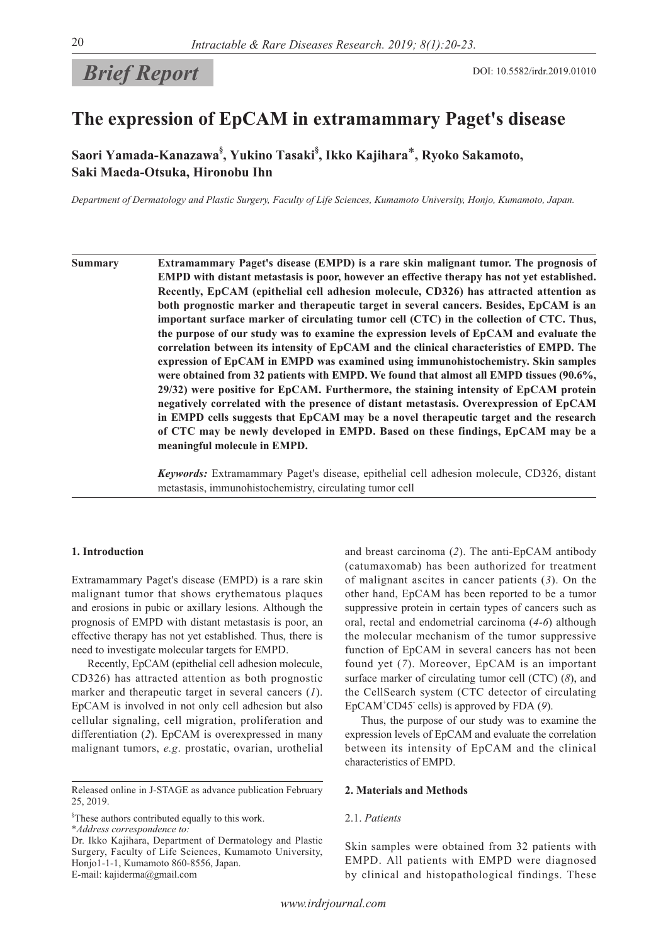

# **The expression of EpCAM in extramammary Paget's disease**

**Saori Yamada-Kanazawa§ , Yukino Tasaki§ , Ikko Kajihara**\***, Ryoko Sakamoto, Saki Maeda-Otsuka, Hironobu Ihn**

*Department of Dermatology and Plastic Surgery, Faculty of Life Sciences, Kumamoto University, Honjo, Kumamoto, Japan.*

**Summary Extramammary Paget's disease (EMPD) is a rare skin malignant tumor. The prognosis of EMPD with distant metastasis is poor, however an effective therapy has not yet established. Recently, EpCAM (epithelial cell adhesion molecule, CD326) has attracted attention as both prognostic marker and therapeutic target in several cancers. Besides, EpCAM is an important surface marker of circulating tumor cell (CTC) in the collection of CTC. Thus, the purpose of our study was to examine the expression levels of EpCAM and evaluate the correlation between its intensity of EpCAM and the clinical characteristics of EMPD. The expression of EpCAM in EMPD was examined using immunohistochemistry. Skin samples were obtained from 32 patients with EMPD. We found that almost all EMPD tissues (90.6%, 29/32) were positive for EpCAM. Furthermore, the staining intensity of EpCAM protein negatively correlated with the presence of distant metastasis. Overexpression of EpCAM in EMPD cells suggests that EpCAM may be a novel therapeutic target and the research of CTC may be newly developed in EMPD. Based on these findings, EpCAM may be a meaningful molecule in EMPD.**

> *Keywords:* Extramammary Paget's disease, epithelial cell adhesion molecule, CD326, distant metastasis, immunohistochemistry, circulating tumor cell

#### **1. Introduction**

Extramammary Paget's disease (EMPD) is a rare skin malignant tumor that shows erythematous plaques and erosions in pubic or axillary lesions. Although the prognosis of EMPD with distant metastasis is poor, an effective therapy has not yet established. Thus, there is need to investigate molecular targets for EMPD.

Recently, EpCAM (epithelial cell adhesion molecule, CD326) has attracted attention as both prognostic marker and therapeutic target in several cancers (*1*). EpCAM is involved in not only cell adhesion but also cellular signaling, cell migration, proliferation and differentiation (*2*). EpCAM is overexpressed in many malignant tumors, *e.g*. prostatic, ovarian, urothelial

§ These authors contributed equally to this work.

\**Address correspondence to:*

Dr. Ikko Kajihara, Department of Dermatology and Plastic Surgery, Faculty of Life Sciences, Kumamoto University, Honjo1-1-1, Kumamoto 860-8556, Japan. E-mail: kajiderma@gmail.com

and breast carcinoma (*2*). The anti-EpCAM antibody (catumaxomab) has been authorized for treatment of malignant ascites in cancer patients (*3*). On the other hand, EpCAM has been reported to be a tumor suppressive protein in certain types of cancers such as oral, rectal and endometrial carcinoma (*4-6*) although the molecular mechanism of the tumor suppressive function of EpCAM in several cancers has not been found yet (*7*). Moreover, EpCAM is an important surface marker of circulating tumor cell (CTC) (*8*), and the CellSearch system (CTC detector of circulating EpCAM<sup>+</sup>CD45<sup>-</sup> cells) is approved by FDA (9).

Thus, the purpose of our study was to examine the expression levels of EpCAM and evaluate the correlation between its intensity of EpCAM and the clinical characteristics of EMPD.

#### **2. Materials and Methods**

#### 2.1. *Patients*

Skin samples were obtained from 32 patients with EMPD. All patients with EMPD were diagnosed by clinical and histopathological findings. These

Released online in J-STAGE as advance publication February 25, 2019.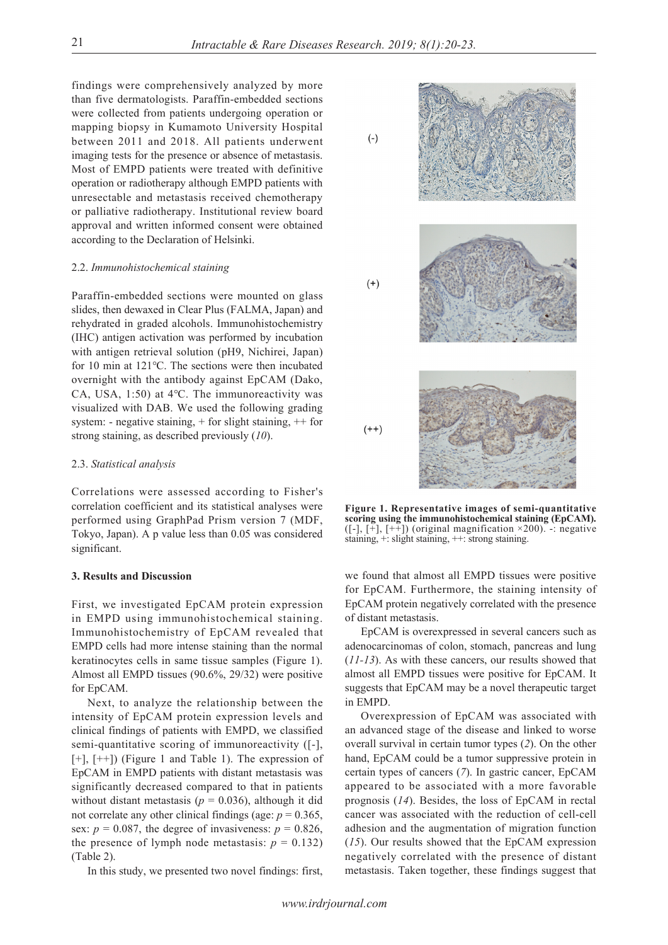$(-)$ 

 $(+)$ 

findings were comprehensively analyzed by more than five dermatologists. Paraffin-embedded sections were collected from patients undergoing operation or mapping biopsy in Kumamoto University Hospital between 2011 and 2018. All patients underwent imaging tests for the presence or absence of metastasis. Most of EMPD patients were treated with definitive operation or radiotherapy although EMPD patients with unresectable and metastasis received chemotherapy or palliative radiotherapy. Institutional review board approval and written informed consent were obtained according to the Declaration of Helsinki.

#### 2.2. *Immunohistochemical staining*

Paraffin-embedded sections were mounted on glass slides, then dewaxed in Clear Plus (FALMA, Japan) and rehydrated in graded alcohols. Immunohistochemistry (IHC) antigen activation was performed by incubation with antigen retrieval solution (pH9, Nichirei, Japan) for 10 min at 121℃. The sections were then incubated overnight with the antibody against EpCAM (Dako, CA, USA, 1:50) at 4℃. The immunoreactivity was visualized with DAB. We used the following grading system: - negative staining,  $+$  for slight staining,  $+$  for strong staining, as described previously (*10*).

## 2.3. *Statistical analysis*

Correlations were assessed according to Fisher's correlation coefficient and its statistical analyses were performed using GraphPad Prism version 7 (MDF, Tokyo, Japan). A p value less than 0.05 was considered significant.

#### **3. Results and Discussion**

First, we investigated EpCAM protein expression in EMPD using immunohistochemical staining. Immunohistochemistry of EpCAM revealed that EMPD cells had more intense staining than the normal keratinocytes cells in same tissue samples (Figure 1). Almost all EMPD tissues (90.6%, 29/32) were positive for EpCAM.

Next, to analyze the relationship between the intensity of EpCAM protein expression levels and clinical findings of patients with EMPD, we classified semi-quantitative scoring of immunoreactivity ([-],  $[+]$ ,  $[++]$ ) (Figure 1 and Table 1). The expression of EpCAM in EMPD patients with distant metastasis was significantly decreased compared to that in patients without distant metastasis ( $p = 0.036$ ), although it did not correlate any other clinical findings (age:  $p = 0.365$ , sex:  $p = 0.087$ , the degree of invasiveness:  $p = 0.826$ , the presence of lymph node metastasis:  $p = 0.132$ ) (Table 2).

In this study, we presented two novel findings: first,

 $(++)$ 

**Figure 1. Representative images of semi-quantitative scoring using the immunohistochemical staining (EpCAM).** ([-],  $[\bar{+}]$ ,  $[\bar{+}\bar{+}]$ ) (original magnification ×200). -: negative staining, +: slight staining, ++: strong staining.

we found that almost all EMPD tissues were positive for EpCAM. Furthermore, the staining intensity of EpCAM protein negatively correlated with the presence of distant metastasis.

EpCAM is overexpressed in several cancers such as adenocarcinomas of colon, stomach, pancreas and lung (*11-13*). As with these cancers, our results showed that almost all EMPD tissues were positive for EpCAM. It suggests that EpCAM may be a novel therapeutic target in EMPD.

Overexpression of EpCAM was associated with an advanced stage of the disease and linked to worse overall survival in certain tumor types (*2*). On the other hand, EpCAM could be a tumor suppressive protein in certain types of cancers (*7*). In gastric cancer, EpCAM appeared to be associated with a more favorable prognosis (*14*). Besides, the loss of EpCAM in rectal cancer was associated with the reduction of cell-cell adhesion and the augmentation of migration function (*15*). Our results showed that the EpCAM expression negatively correlated with the presence of distant metastasis. Taken together, these findings suggest that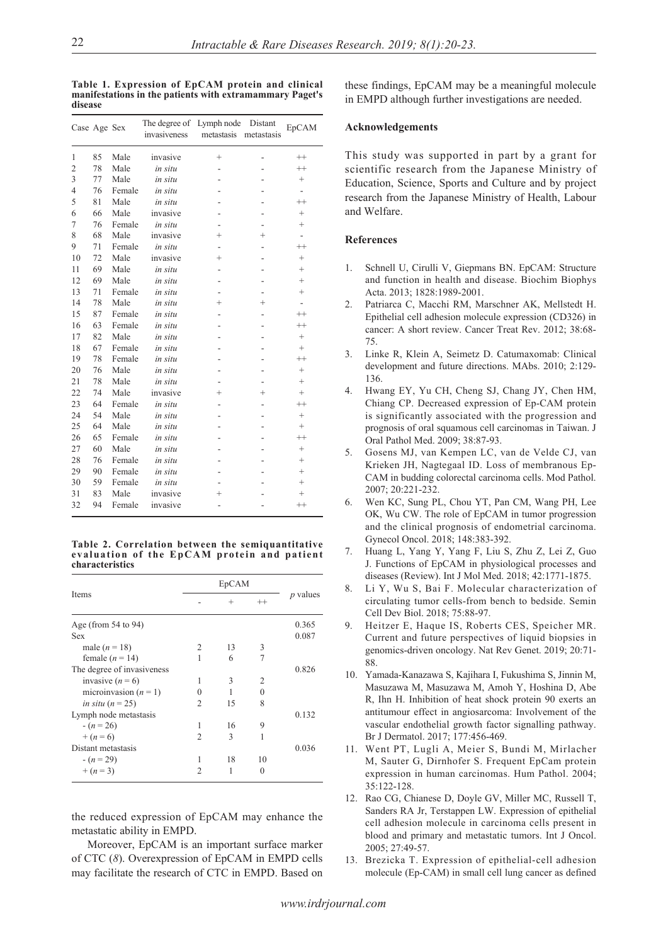**Table 1. Expression of EpCAM protein and clinical manifestations in the patients with extramammary Paget's disease**

| Case Age Sex   |    |        | The degree of Lymph node<br>invasiveness | metastasis metastasis | Distant        | EpCAM                    |
|----------------|----|--------|------------------------------------------|-----------------------|----------------|--------------------------|
| 1              | 85 | Male   | invasive                                 | $^{+}$                | -              | $^{++}$                  |
| $\overline{2}$ | 78 | Male   | in situ                                  |                       |                | $^{++}$                  |
| 3              | 77 | Male   | in situ                                  |                       |                | $^{+}$                   |
| $\overline{4}$ | 76 | Female | in situ                                  |                       |                |                          |
| 5              | 81 | Male   | in situ                                  |                       |                | $^{++}$                  |
| 6              | 66 | Male   | invasive                                 |                       |                | $^{+}$                   |
| 7              | 76 | Female | in situ                                  |                       |                | $^{+}$                   |
| 8              | 68 | Male   | invasive                                 | $^{+}$                | $^{+}$         | $\overline{\phantom{0}}$ |
| 9              | 71 | Female | in situ                                  |                       | $\overline{a}$ | $^{++}$                  |
| 10             | 72 | Male   | invasive                                 | $^{+}$                |                | $^{+}$                   |
| 11             | 69 | Male   | in situ                                  |                       |                | $^{+}$                   |
| 12             | 69 | Male   | in situ                                  |                       |                | $^{+}$                   |
| 13             | 71 | Female | in situ                                  |                       |                | $^{+}$                   |
| 14             | 78 | Male   | in situ                                  | $^+$                  | $^{+}$         | L.                       |
| 15             | 87 | Female | in situ                                  |                       |                | $^{++}$                  |
| 16             | 63 | Female | in situ                                  |                       |                | $^{++}$                  |
| 17             | 82 | Male   | in situ                                  |                       |                | $^{+}$                   |
| 18             | 67 | Female | in situ                                  |                       |                | $^{+}$                   |
| 19             | 78 | Female | in situ                                  |                       |                | $^{++}$                  |
| 20             | 76 | Male   | in situ                                  |                       |                | $^{+}$                   |
| 21             | 78 | Male   | in situ                                  |                       |                | $^{+}$                   |
| 22             | 74 | Male   | invasive                                 | $^+$                  | $^{+}$         | $^{+}$                   |
| 23             | 64 | Female | in situ                                  |                       |                | $^{++}$                  |
| 24             | 54 | Male   | in situ                                  |                       |                | $^{+}$                   |
| 25             | 64 | Male   | in situ                                  |                       |                | $^{+}$                   |
| 26             | 65 | Female | in situ                                  |                       |                | $^{++}$                  |
| 27             | 60 | Male   | in situ                                  |                       |                | $^{+}$                   |
| 28             | 76 | Female | in situ                                  |                       |                | $^{+}$                   |
| 29             | 90 | Female | in situ                                  |                       |                | $^{+}$                   |
| 30             | 59 | Female | in situ                                  |                       |                | $^{+}$                   |
| 31             | 83 | Male   | invasive                                 | $^+$                  |                | $^+$                     |
| 32             | 94 | Female | invasive                                 |                       |                | $^{++}$                  |

**Table 2. Correlation between the semiquantitative evaluation of the EpCAM protein and patient characteristics**

|                            | EpCAM |        |         |            |
|----------------------------|-------|--------|---------|------------|
| Items                      |       | $^{+}$ | $^{++}$ | $p$ values |
| Age (from $54$ to $94$ )   |       |        |         | 0.365      |
| Sex                        |       |        |         | 0.087      |
| male $(n = 18)$            | 2     | 13     | 3       |            |
| female $(n = 14)$          | 1     | 6      | 7       |            |
| The degree of invasiveness |       |        |         | 0.826      |
| invasive $(n = 6)$         | 1     | 3      | 2       |            |
| microinvasion $(n = 1)$    | Ω     |        | 0       |            |
| in situ $(n = 25)$         | 2     | 15     | 8       |            |
| Lymph node metastasis      |       |        |         | 0.132      |
| $-(n=26)$                  | 1     | 16     | 9       |            |
| $+(n=6)$                   | 2     | 3      | 1       |            |
| Distant metastasis         |       |        |         | 0.036      |
| $-(n=29)$                  | 1     | 18     | 10      |            |
| $+(n=3)$                   | 2     |        | 0       |            |

the reduced expression of EpCAM may enhance the metastatic ability in EMPD.

Moreover, EpCAM is an important surface marker of CTC (*8*). Overexpression of EpCAM in EMPD cells may facilitate the research of CTC in EMPD. Based on these findings, EpCAM may be a meaningful molecule in EMPD although further investigations are needed.

### **Acknowledgements**

This study was supported in part by a grant for scientific research from the Japanese Ministry of Education, Science, Sports and Culture and by project research from the Japanese Ministry of Health, Labour and Welfare.

# **References**

- 1. Schnell U, Cirulli V, Giepmans BN. EpCAM: Structure and function in health and disease. Biochim Biophys Acta. 2013; 1828:1989-2001.
- 2. Patriarca C, Macchi RM, Marschner AK, Mellstedt H. Epithelial cell adhesion molecule expression (CD326) in cancer: A short review. Cancer Treat Rev. 2012; 38:68- 75.
- 3. Linke R, Klein A, Seimetz D. Catumaxomab: Clinical development and future directions. MAbs. 2010; 2:129- 136.
- 4. Hwang EY, Yu CH, Cheng SJ, Chang JY, Chen HM, Chiang CP. Decreased expression of Ep-CAM protein is significantly associated with the progression and prognosis of oral squamous cell carcinomas in Taiwan. J Oral Pathol Med. 2009; 38:87-93.
- 5. Gosens MJ, van Kempen LC, van de Velde CJ, van Krieken JH, Nagtegaal ID. Loss of membranous Ep-CAM in budding colorectal carcinoma cells. Mod Pathol. 2007; 20:221-232.
- 6. Wen KC, Sung PL, Chou YT, Pan CM, Wang PH, Lee OK, Wu CW. The role of EpCAM in tumor progression and the clinical prognosis of endometrial carcinoma. Gynecol Oncol. 2018; 148:383-392.
- 7. Huang L, Yang Y, Yang F, Liu S, Zhu Z, Lei Z, Guo J. Functions of EpCAM in physiological processes and diseases (Review). Int J Mol Med. 2018; 42:1771-1875.
- 8. Li Y, Wu S, Bai F. Molecular characterization of circulating tumor cells-from bench to bedside. Semin Cell Dev Biol. 2018; 75:88-97.
- 9. Heitzer E, Haque IS, Roberts CES, Speicher MR. Current and future perspectives of liquid biopsies in genomics-driven oncology. Nat Rev Genet. 2019; 20:71- 88.
- 10. Yamada-Kanazawa S, Kajihara I, Fukushima S, Jinnin M, Masuzawa M, Masuzawa M, Amoh Y, Hoshina D, Abe R, Ihn H. Inhibition of heat shock protein 90 exerts an antitumour effect in angiosarcoma: Involvement of the vascular endothelial growth factor signalling pathway. Br J Dermatol. 2017; 177:456-469.
- 11. Went PT, Lugli A, Meier S, Bundi M, Mirlacher M, Sauter G, Dirnhofer S. Frequent EpCam protein expression in human carcinomas. Hum Pathol. 2004; 35:122-128.
- 12. Rao CG, Chianese D, Doyle GV, Miller MC, Russell T, Sanders RA Jr, Terstappen LW. Expression of epithelial cell adhesion molecule in carcinoma cells present in blood and primary and metastatic tumors. Int J Oncol. 2005; 27:49-57.
- 13. Brezicka T. Expression of epithelial-cell adhesion molecule (Ep-CAM) in small cell lung cancer as defined